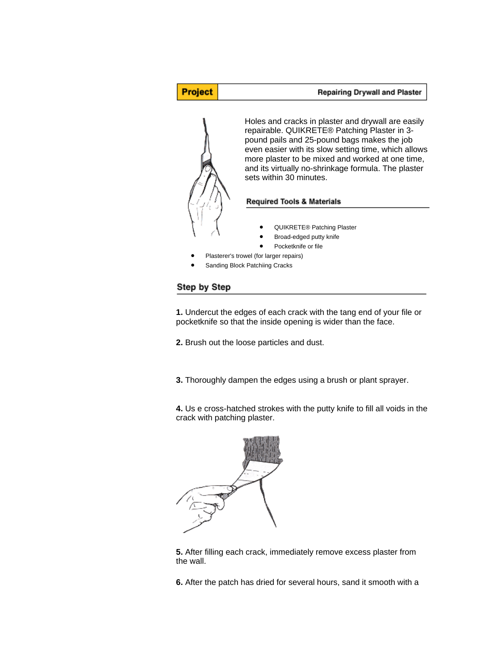

## Step by Step

**1.** Undercut the edges of each crack with the tang end of your file or pocketknife so that the inside opening is wider than the face.

**2.** Brush out the loose particles and dust.

**3.** Thoroughly dampen the edges using a brush or plant sprayer.

**4.** Us e cross-hatched strokes with the putty knife to fill all voids in the crack with patching plaster.



**5.** After filling each crack, immediately remove excess plaster from the wall.

**6.** After the patch has dried for several hours, sand it smooth with a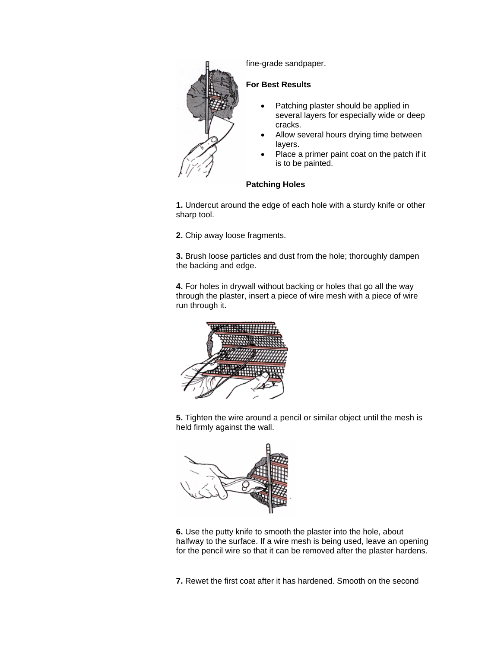

fine-grade sandpaper.

## **For Best Results**

- Patching plaster should be applied in several layers for especially wide or deep cracks.
- Allow several hours drying time between layers.
- Place a primer paint coat on the patch if it is to be painted.

## **Patching Holes**

**1.** Undercut around the edge of each hole with a sturdy knife or other sharp tool.

**2.** Chip away loose fragments.

**3.** Brush loose particles and dust from the hole; thoroughly dampen the backing and edge.

**4.** For holes in drywall without backing or holes that go all the way through the plaster, insert a piece of wire mesh with a piece of wire run through it.



**5.** Tighten the wire around a pencil or similar object until the mesh is held firmly against the wall.



**6.** Use the putty knife to smooth the plaster into the hole, about halfway to the surface. If a wire mesh is being used, leave an opening for the pencil wire so that it can be removed after the plaster hardens.

**7.** Rewet the first coat after it has hardened. Smooth on the second